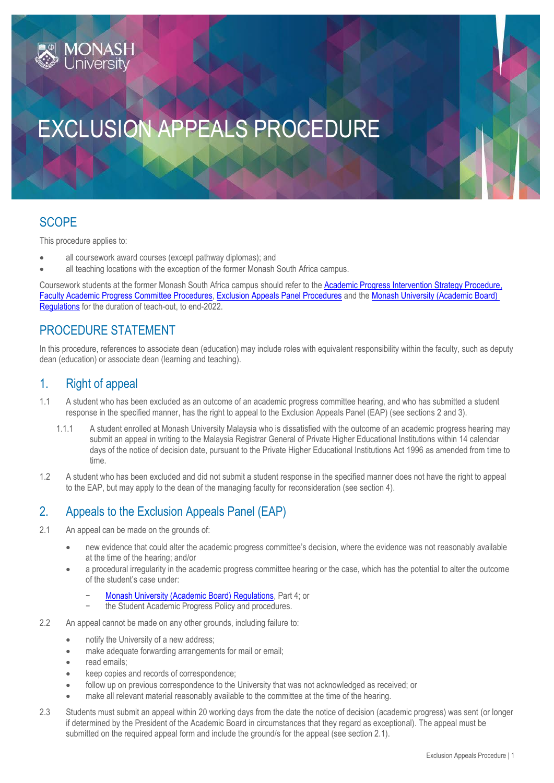# EXCLUSION APPEALS PROCEDURE

## **SCOPE**

This procedure applies to:

**1ONASH**<br>Jniversitv

- all coursework award courses (except pathway diplomas); and
- all teaching locations with the exception of the former Monash South Africa campus.

Coursework students at the former Monash South Africa campus should refer to th[e Academic Progress Intervention Strategy Procedure,](https://publicpolicydms.monash.edu/Monash/documents/1934247) [Faculty Academic Progress Committee](https://publicpolicydms.monash.edu/Monash/documents/1934256) Procedures, [Exclusion Appeals Panel Procedures](https://publicpolicydms.monash.edu/Monash/documents/1934255) and th[e Monash University \(Academic Board\)](https://www.monash.edu/legal/legislation/current-statute-regulations-and-related-resolutions)  [Regulations](https://www.monash.edu/legal/legislation/current-statute-regulations-and-related-resolutions) for the duration of teach-out, to end-2022.

## PROCEDURE STATEMENT

In this procedure, references to associate dean (education) may include roles with equivalent responsibility within the faculty, such as deputy dean (education) or associate dean (learning and teaching).

## 1. Right of appeal

- 1.1 A student who has been excluded as an outcome of an academic progress committee hearing, and who has submitted a student response in the specified manner, has the right to appeal to the Exclusion Appeals Panel (EAP) (see sections 2 and 3).
	- 1.1.1 A student enrolled at Monash University Malaysia who is dissatisfied with the outcome of an academic progress hearing may submit an appeal in writing to the Malaysia Registrar General of Private Higher Educational Institutions within 14 calendar days of the notice of decision date, pursuant to the Private Higher Educational Institutions Act 1996 as amended from time to time.
- 1.2 A student who has been excluded and did not submit a student response in the specified manner does not have the right to appeal to the EAP, but may apply to the dean of the managing faculty for reconsideration (see section 4).

## 2. Appeals to the Exclusion Appeals Panel (EAP)

- 2.1 An appeal can be made on the grounds of:
	- new evidence that could alter the academic progress committee's decision, where the evidence was not reasonably available at the time of the hearing; and/or
	- a procedural irregularity in the academic progress committee hearing or the case, which has the potential to alter the outcome of the student's case under:
		- − [Monash University \(Academic Board\) Regulations,](https://www.monash.edu/legal/legislation/current-statute-regulations-and-related-resolutions) Part 4; or
		- the Student Academic Progress Policy and procedures.
- 2.2 An appeal cannot be made on any other grounds, including failure to:
	- notify the University of a new address:
	- make adequate forwarding arrangements for mail or email;
	- read emails;
	- keep copies and records of correspondence;
	- follow up on previous correspondence to the University that was not acknowledged as received; or
	- make all relevant material reasonably available to the committee at the time of the hearing.
- 2.3 Students must submit an appeal within 20 working days from the date the notice of decision (academic progress) was sent (or longer if determined by the President of the Academic Board in circumstances that they regard as exceptional). The appeal must be submitted on the required appeal form and include the ground/s for the appeal (see section 2.1).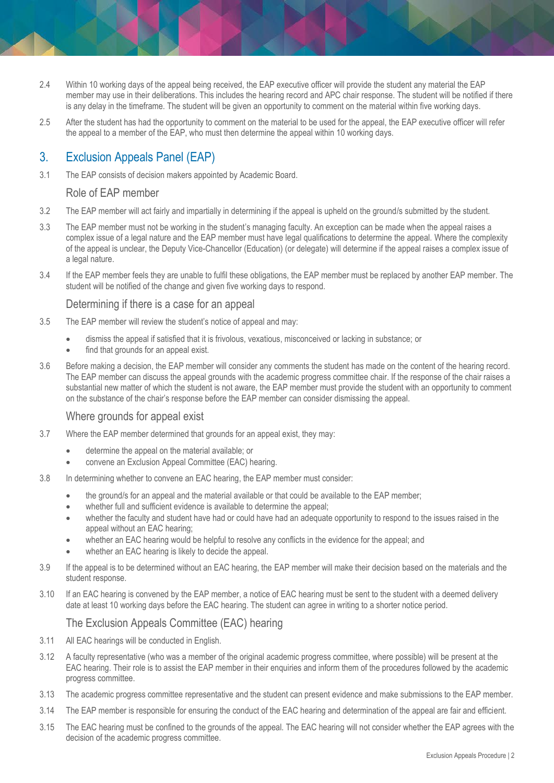- 2.4 Within 10 working days of the appeal being received, the EAP executive officer will provide the student any material the EAP member may use in their deliberations. This includes the hearing record and APC chair response. The student will be notified if there is any delay in the timeframe. The student will be given an opportunity to comment on the material within five working days.
- 2.5 After the student has had the opportunity to comment on the material to be used for the appeal, the EAP executive officer will refer the appeal to a member of the EAP, who must then determine the appeal within 10 working days.

## 3. Exclusion Appeals Panel (EAP)

3.1 The EAP consists of decision makers appointed by Academic Board.

#### Role of EAP member

- 3.2 The EAP member will act fairly and impartially in determining if the appeal is upheld on the ground/s submitted by the student.
- 3.3 The EAP member must not be working in the student's managing faculty. An exception can be made when the appeal raises a complex issue of a legal nature and the EAP member must have legal qualifications to determine the appeal. Where the complexity of the appeal is unclear, the Deputy Vice-Chancellor (Education) (or delegate) will determine if the appeal raises a complex issue of a legal nature.
- 3.4 If the EAP member feels they are unable to fulfil these obligations, the EAP member must be replaced by another EAP member. The student will be notified of the change and given five working days to respond.

#### Determining if there is a case for an appeal

- 3.5 The EAP member will review the student's notice of appeal and may:
	- dismiss the appeal if satisfied that it is frivolous, vexatious, misconceived or lacking in substance; or
	- find that grounds for an appeal exist.
- 3.6 Before making a decision, the EAP member will consider any comments the student has made on the content of the hearing record. The EAP member can discuss the appeal grounds with the academic progress committee chair. If the response of the chair raises a substantial new matter of which the student is not aware, the EAP member must provide the student with an opportunity to comment on the substance of the chair's response before the EAP member can consider dismissing the appeal.

#### Where grounds for appeal exist

- 3.7 Where the EAP member determined that grounds for an appeal exist, they may:
	- determine the appeal on the material available; or
	- convene an Exclusion Appeal Committee (EAC) hearing.
- 3.8 In determining whether to convene an EAC hearing, the EAP member must consider:
	- the ground/s for an appeal and the material available or that could be available to the EAP member;
	- whether full and sufficient evidence is available to determine the appeal;
	- whether the faculty and student have had or could have had an adequate opportunity to respond to the issues raised in the appeal without an EAC hearing;
	- whether an EAC hearing would be helpful to resolve any conflicts in the evidence for the appeal; and
	- whether an EAC hearing is likely to decide the appeal.
- 3.9 If the appeal is to be determined without an EAC hearing, the EAP member will make their decision based on the materials and the student response.
- 3.10 If an EAC hearing is convened by the EAP member, a notice of EAC hearing must be sent to the student with a deemed delivery date at least 10 working days before the EAC hearing. The student can agree in writing to a shorter notice period.

#### The Exclusion Appeals Committee (EAC) hearing

- 3.11 All EAC hearings will be conducted in English.
- 3.12 A faculty representative (who was a member of the original academic progress committee, where possible) will be present at the EAC hearing. Their role is to assist the EAP member in their enquiries and inform them of the procedures followed by the academic progress committee.
- 3.13 The academic progress committee representative and the student can present evidence and make submissions to the EAP member.
- 3.14 The EAP member is responsible for ensuring the conduct of the EAC hearing and determination of the appeal are fair and efficient.
- 3.15 The EAC hearing must be confined to the grounds of the appeal. The EAC hearing will not consider whether the EAP agrees with the decision of the academic progress committee.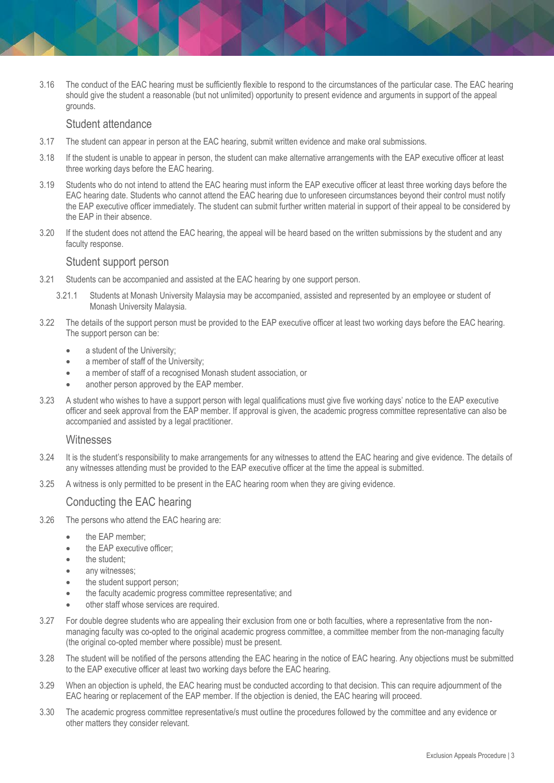3.16 The conduct of the EAC hearing must be sufficiently flexible to respond to the circumstances of the particular case. The EAC hearing should give the student a reasonable (but not unlimited) opportunity to present evidence and arguments in support of the appeal grounds.

#### Student attendance

- 3.17 The student can appear in person at the EAC hearing, submit written evidence and make oral submissions.
- 3.18 If the student is unable to appear in person, the student can make alternative arrangements with the EAP executive officer at least three working days before the EAC hearing.
- 3.19 Students who do not intend to attend the EAC hearing must inform the EAP executive officer at least three working days before the EAC hearing date. Students who cannot attend the EAC hearing due to unforeseen circumstances beyond their control must notify the EAP executive officer immediately. The student can submit further written material in support of their appeal to be considered by the EAP in their absence.
- 3.20 If the student does not attend the EAC hearing, the appeal will be heard based on the written submissions by the student and any faculty response.

#### Student support person

- 3.21 Students can be accompanied and assisted at the EAC hearing by one support person.
	- 3.21.1 Students at Monash University Malaysia may be accompanied, assisted and represented by an employee or student of Monash University Malaysia.
- 3.22 The details of the support person must be provided to the EAP executive officer at least two working days before the EAC hearing. The support person can be:
	- a student of the University;
	- a member of staff of the University;
	- a member of staff of a recognised Monash student association, or
	- another person approved by the EAP member.
- 3.23 A student who wishes to have a support person with legal qualifications must give five working days' notice to the EAP executive officer and seek approval from the EAP member. If approval is given, the academic progress committee representative can also be accompanied and assisted by a legal practitioner.

#### **Witnesses**

- 3.24 It is the student's responsibility to make arrangements for any witnesses to attend the EAC hearing and give evidence. The details of any witnesses attending must be provided to the EAP executive officer at the time the appeal is submitted.
- 3.25 A witness is only permitted to be present in the EAC hearing room when they are giving evidence.

#### Conducting the EAC hearing

- 3.26 The persons who attend the EAC hearing are:
	- the EAP member;
	- the EAP executive officer:
	- the student:
	- any witnesses;
	- the student support person;
	- the faculty academic progress committee representative; and
	- other staff whose services are required.
- 3.27 For double degree students who are appealing their exclusion from one or both faculties, where a representative from the nonmanaging faculty was co-opted to the original academic progress committee, a committee member from the non-managing faculty (the original co-opted member where possible) must be present.
- 3.28 The student will be notified of the persons attending the EAC hearing in the notice of EAC hearing. Any objections must be submitted to the EAP executive officer at least two working days before the EAC hearing.
- 3.29 When an objection is upheld, the EAC hearing must be conducted according to that decision. This can require adjournment of the EAC hearing or replacement of the EAP member. If the objection is denied, the EAC hearing will proceed.
- 3.30 The academic progress committee representative/s must outline the procedures followed by the committee and any evidence or other matters they consider relevant.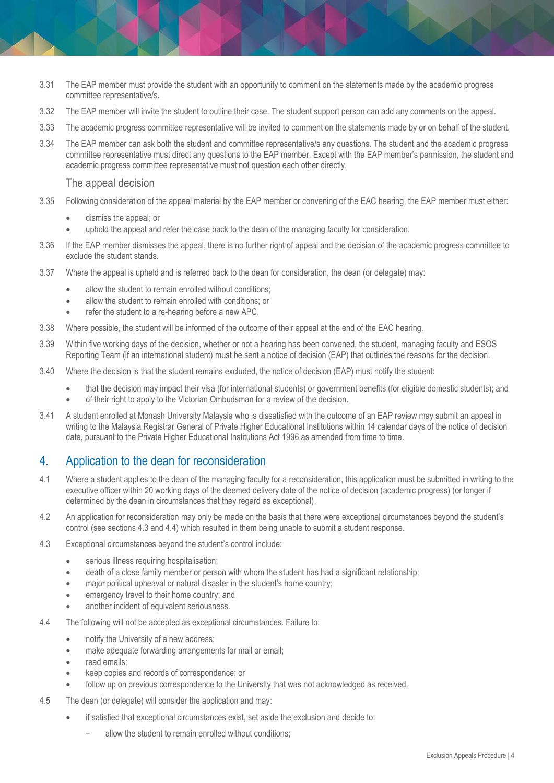- 3.31 The EAP member must provide the student with an opportunity to comment on the statements made by the academic progress committee representative/s.
- 3.32 The EAP member will invite the student to outline their case. The student support person can add any comments on the appeal.
- 3.33 The academic progress committee representative will be invited to comment on the statements made by or on behalf of the student.
- 3.34 The EAP member can ask both the student and committee representative/s any questions. The student and the academic progress committee representative must direct any questions to the EAP member. Except with the EAP member's permission, the student and academic progress committee representative must not question each other directly.

#### The appeal decision

- 3.35 Following consideration of the appeal material by the EAP member or convening of the EAC hearing, the EAP member must either:
	- dismiss the appeal; or
	- uphold the appeal and refer the case back to the dean of the managing faculty for consideration.
- 3.36 If the EAP member dismisses the appeal, there is no further right of appeal and the decision of the academic progress committee to exclude the student stands.
- 3.37 Where the appeal is upheld and is referred back to the dean for consideration, the dean (or delegate) may:
	- allow the student to remain enrolled without conditions;
	- allow the student to remain enrolled with conditions; or
	- refer the student to a re-hearing before a new APC.
- 3.38 Where possible, the student will be informed of the outcome of their appeal at the end of the EAC hearing.
- 3.39 Within five working days of the decision, whether or not a hearing has been convened, the student, managing faculty and ESOS Reporting Team (if an international student) must be sent a notice of decision (EAP) that outlines the reasons for the decision.
- 3.40 Where the decision is that the student remains excluded, the notice of decision (EAP) must notify the student:
	- that the decision may impact their visa (for international students) or government benefits (for eligible domestic students); and
	- of their right to apply to the Victorian Ombudsman for a review of the decision.
- 3.41 A student enrolled at Monash University Malaysia who is dissatisfied with the outcome of an EAP review may submit an appeal in writing to the Malaysia Registrar General of Private Higher Educational Institutions within 14 calendar days of the notice of decision date, pursuant to the Private Higher Educational Institutions Act 1996 as amended from time to time.

## 4. Application to the dean for reconsideration

- 4.1 Where a student applies to the dean of the managing faculty for a reconsideration, this application must be submitted in writing to the executive officer within 20 working days of the deemed delivery date of the notice of decision (academic progress) (or longer if determined by the dean in circumstances that they regard as exceptional).
- 4.2 An application for reconsideration may only be made on the basis that there were exceptional circumstances beyond the student's control (see sections 4.3 and 4.4) which resulted in them being unable to submit a student response.
- 4.3 Exceptional circumstances beyond the student's control include:
	- **•** serious illness requiring hospitalisation;
	- death of a close family member or person with whom the student has had a significant relationship;
	- major political upheaval or natural disaster in the student's home country;
	- **emergency travel to their home country; and**
	- another incident of equivalent seriousness.
- 4.4 The following will not be accepted as exceptional circumstances. Failure to:
	- notify the University of a new address;
	- make adequate forwarding arrangements for mail or email;
	- read emails;
	- keep copies and records of correspondence; or
	- follow up on previous correspondence to the University that was not acknowledged as received.
- 4.5 The dean (or delegate) will consider the application and may:
	- if satisfied that exceptional circumstances exist, set aside the exclusion and decide to:
		- allow the student to remain enrolled without conditions: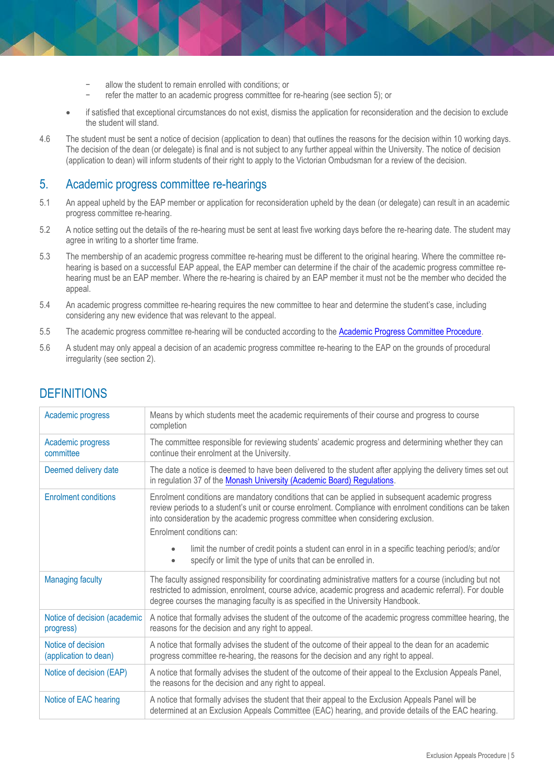- allow the student to remain enrolled with conditions; or
- refer the matter to an academic progress committee for re-hearing (see section 5); or
- if satisfied that exceptional circumstances do not exist, dismiss the application for reconsideration and the decision to exclude the student will stand.
- 4.6 The student must be sent a notice of decision (application to dean) that outlines the reasons for the decision within 10 working days. The decision of the dean (or delegate) is final and is not subject to any further appeal within the University. The notice of decision (application to dean) will inform students of their right to apply to the Victorian Ombudsman for a review of the decision.

## 5. Academic progress committee re-hearings

- 5.1 An appeal upheld by the EAP member or application for reconsideration upheld by the dean (or delegate) can result in an academic progress committee re-hearing.
- 5.2 A notice setting out the details of the re-hearing must be sent at least five working days before the re-hearing date. The student may agree in writing to a shorter time frame.
- 5.3 The membership of an academic progress committee re-hearing must be different to the original hearing. Where the committee rehearing is based on a successful EAP appeal, the EAP member can determine if the chair of the academic progress committee rehearing must be an EAP member. Where the re-hearing is chaired by an EAP member it must not be the member who decided the appeal.
- 5.4 An academic progress committee re-hearing requires the new committee to hear and determine the student's case, including considering any new evidence that was relevant to the appeal.
- 5.5 The academic progress committee re-hearing will be conducted according to th[e Academic Progress Committee Procedure.](https://publicpolicydms.monash.edu/Monash/documents/1935787)
- 5.6 A student may only appeal a decision of an academic progress committee re-hearing to the EAP on the grounds of procedural irregularity (see section 2).

| Means by which students meet the academic requirements of their course and progress to course<br>completion                                                                                                                                                                                                                      |
|----------------------------------------------------------------------------------------------------------------------------------------------------------------------------------------------------------------------------------------------------------------------------------------------------------------------------------|
| The committee responsible for reviewing students' academic progress and determining whether they can<br>continue their enrolment at the University.                                                                                                                                                                              |
| The date a notice is deemed to have been delivered to the student after applying the delivery times set out<br>in regulation 37 of the Monash University (Academic Board) Regulations.                                                                                                                                           |
| Enrolment conditions are mandatory conditions that can be applied in subsequent academic progress<br>review periods to a student's unit or course enrolment. Compliance with enrolment conditions can be taken<br>into consideration by the academic progress committee when considering exclusion.<br>Enrolment conditions can: |
| limit the number of credit points a student can enrol in in a specific teaching period/s; and/or<br>specify or limit the type of units that can be enrolled in.<br>$\bullet$                                                                                                                                                     |
| The faculty assigned responsibility for coordinating administrative matters for a course (including but not<br>restricted to admission, enrolment, course advice, academic progress and academic referral). For double<br>degree courses the managing faculty is as specified in the University Handbook.                        |
| A notice that formally advises the student of the outcome of the academic progress committee hearing, the<br>reasons for the decision and any right to appeal.                                                                                                                                                                   |
| A notice that formally advises the student of the outcome of their appeal to the dean for an academic<br>progress committee re-hearing, the reasons for the decision and any right to appeal.                                                                                                                                    |
| A notice that formally advises the student of the outcome of their appeal to the Exclusion Appeals Panel,<br>the reasons for the decision and any right to appeal.                                                                                                                                                               |
| A notice that formally advises the student that their appeal to the Exclusion Appeals Panel will be<br>determined at an Exclusion Appeals Committee (EAC) hearing, and provide details of the EAC hearing.                                                                                                                       |
|                                                                                                                                                                                                                                                                                                                                  |

# **DEFINITIONS**